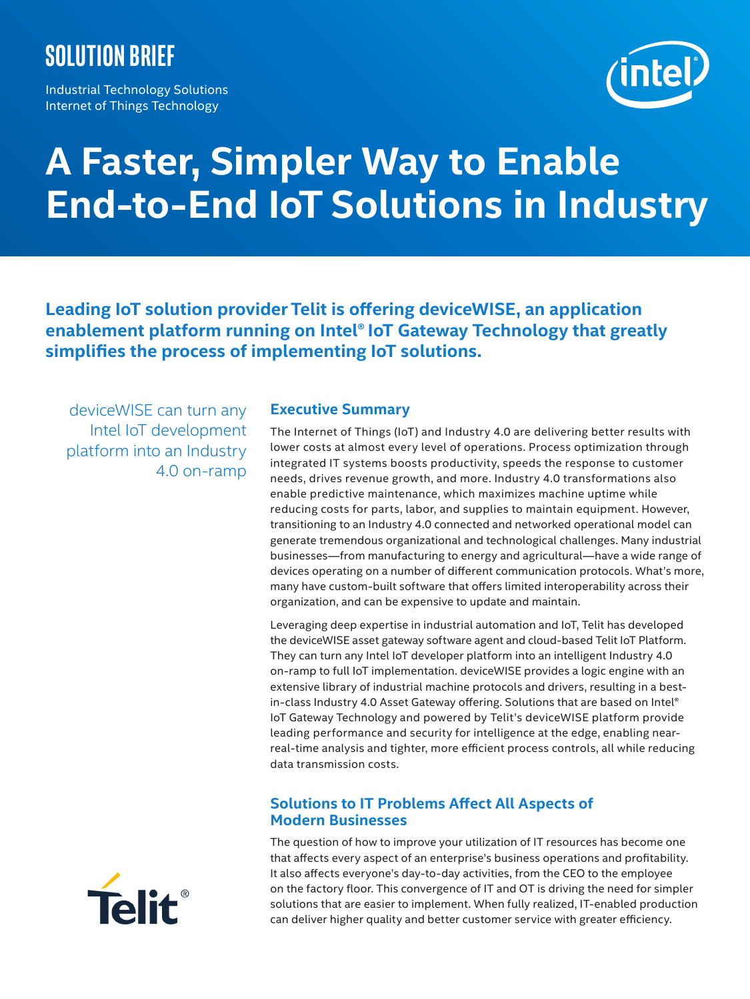## **Solution brief**

Industrial Technology Solutions Internet of Things Technology



# **A Faster, Simpler Way to Enable End-to-End IoT Solutions in Industry**

**Leading IoT solution provider Telit is offering deviceWISE, an application enablement platform running on Intel® IoT Gateway Technology that greatly simplifies the process of implementing IoT solutions.**

deviceWISE can turn any Intel IoT development platform into an Industry 4.0 on-ramp

### **Executive Summary**

The Internet of Things (IoT) and Industry 4.0 are delivering better results with lower costs at almost every level of operations. Process optimization through integrated IT systems boosts productivity, speeds the response to customer needs, drives revenue growth, and more. Industry 4.0 transformations also enable predictive maintenance, which maximizes machine uptime while reducing costs for parts, labor, and supplies to maintain equipment. However, transitioning to an Industry 4.0 connected and networked operational model can generate tremendous organizational and technological challenges. Many industrial businesses—from manufacturing to energy and agricultural—have a wide range of devices operating on a number of different communication protocols. What's more, many have custom-built software that offers limited interoperability across their organization, and can be expensive to update and maintain.

Leveraging deep expertise in industrial automation and IoT, Telit has developed the deviceWISE asset gateway software agent and cloud-based Telit IoT Platform. They can turn any Intel IoT developer platform into an intelligent Industry 4.0 on-ramp to full IoT implementation. deviceWISE provides a logic engine with an extensive library of industrial machine protocols and drivers, resulting in a bestin-class Industry 4.0 Asset Gateway offering. Solutions that are based on Intel® IoT Gateway Technology and powered by Telit's deviceWISE platform provide leading performance and security for intelligence at the edge, enabling nearreal-time analysis and tighter, more efficient process controls, all while reducing data transmission costs.

## **Solutions to IT Problems Affect All Aspects of Modern Businesses**

The question of how to improve your utilization of IT resources has become one that affects every aspect of an enterprise's business operations and profitability. It also affects everyone's day-to-day activities, from the CEO to the employee on the factory floor. This convergence of IT and OT is driving the need for simpler solutions that are easier to implement. When fully realized, IT-enabled production can deliver higher quality and better customer service with greater efficiency.

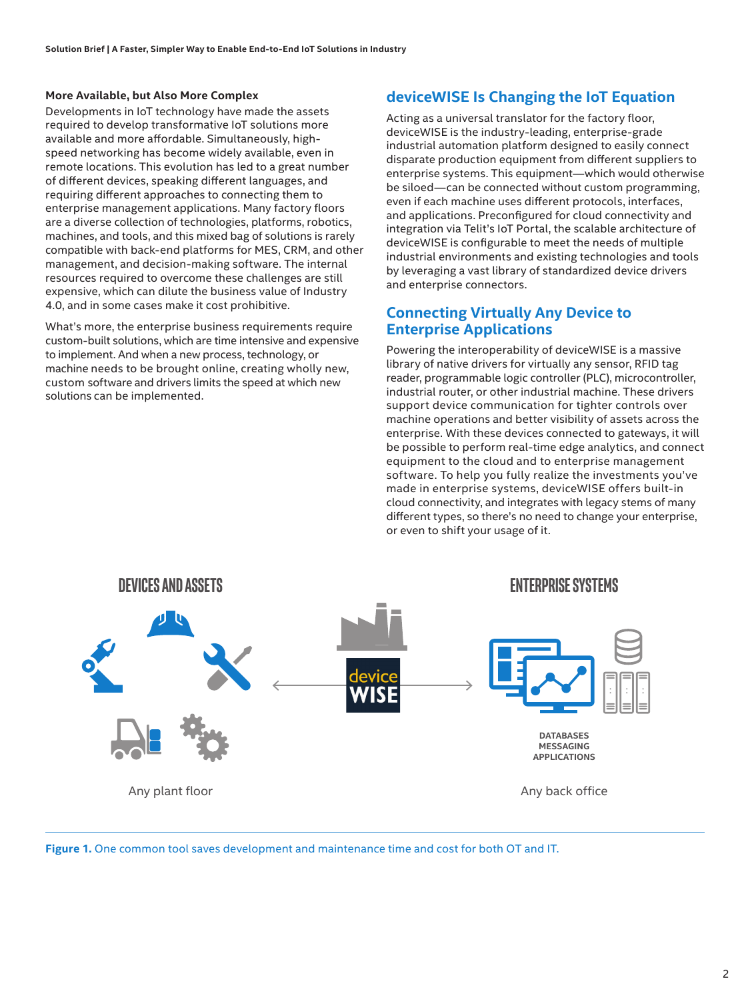#### **More Available, but Also More Complex**

Developments in IoT technology have made the assets required to develop transformative IoT solutions more available and more affordable. Simultaneously, highspeed networking has become widely available, even in remote locations. This evolution has led to a great number of different devices, speaking different languages, and requiring different approaches to connecting them to enterprise management applications. Many factory floors are a diverse collection of technologies, platforms, robotics, machines, and tools, and this mixed bag of solutions is rarely compatible with back-end platforms for MES, CRM, and other management, and decision-making software. The internal resources required to overcome these challenges are still expensive, which can dilute the business value of Industry 4.0, and in some cases make it cost prohibitive.

What's more, the enterprise business requirements require custom-built solutions, which are time intensive and expensive to implement. And when a new process, technology, or machine needs to be brought online, creating wholly new, custom software and drivers limits the speed at which new solutions can be implemented.

## **deviceWISE Is Changing the IoT Equation**

Acting as a universal translator for the factory floor, deviceWISE is the industry-leading, enterprise-grade industrial automation platform designed to easily connect disparate production equipment from different suppliers to enterprise systems. This equipment—which would otherwise be siloed—can be connected without custom programming, even if each machine uses different protocols, interfaces, and applications. Preconfigured for cloud connectivity and integration via Telit's IoT Portal, the scalable architecture of deviceWISE is configurable to meet the needs of multiple industrial environments and existing technologies and tools by leveraging a vast library of standardized device drivers and enterprise connectors.

## **Connecting Virtually Any Device to Enterprise Applications**

Powering the interoperability of deviceWISE is a massive library of native drivers for virtually any sensor, RFID tag reader, programmable logic controller (PLC), microcontroller, industrial router, or other industrial machine. These drivers support device communication for tighter controls over machine operations and better visibility of assets across the enterprise. With these devices connected to gateways, it will be possible to perform real-time edge analytics, and connect equipment to the cloud and to enterprise management software. To help you fully realize the investments you've made in enterprise systems, deviceWISE offers built-in cloud connectivity, and integrates with legacy stems of many different types, so there's no need to change your enterprise, or even to shift your usage of it.



**Figure 1.** One common tool saves development and maintenance time and cost for both OT and IT.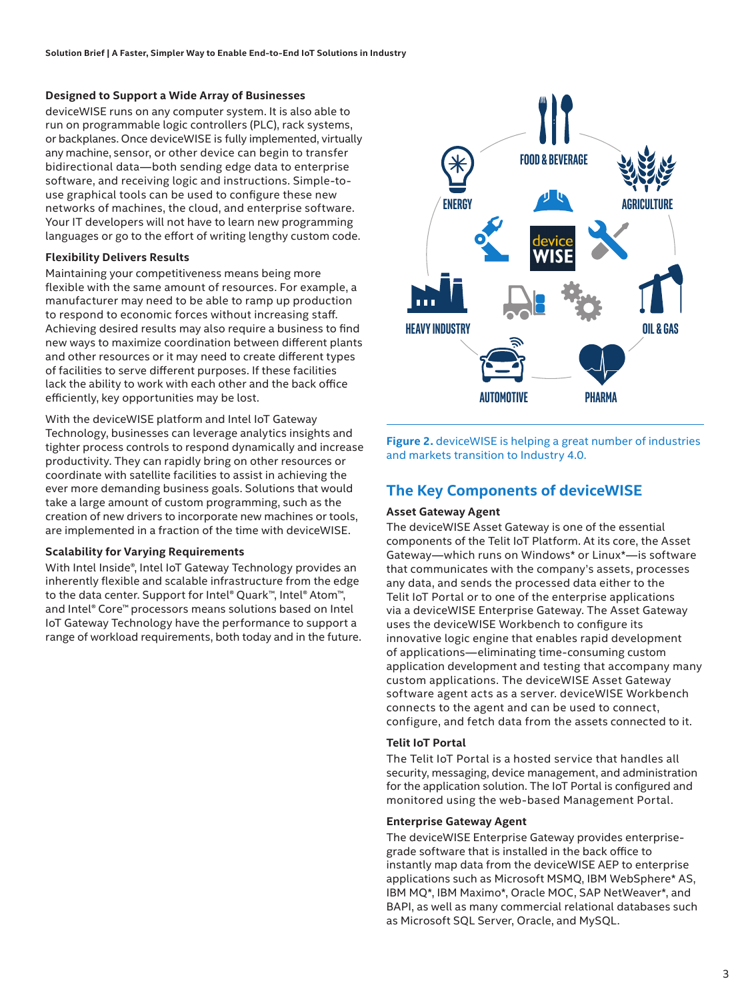#### **Designed to Support a Wide Array of Businesses**

deviceWISE runs on any computer system. It is also able to run on programmable logic controllers (PLC), rack systems, or backplanes. Once deviceWISE is fully implemented, virtually any machine, sensor, or other device can begin to transfer bidirectional data—both sending edge data to enterprise software, and receiving logic and instructions. Simple-touse graphical tools can be used to configure these new networks of machines, the cloud, and enterprise software. Your IT developers will not have to learn new programming languages or go to the effort of writing lengthy custom code.

#### **Flexibility Delivers Results**

Maintaining your competitiveness means being more flexible with the same amount of resources. For example, a manufacturer may need to be able to ramp up production to respond to economic forces without increasing staff. Achieving desired results may also require a business to find new ways to maximize coordination between different plants and other resources or it may need to create different types of facilities to serve different purposes. If these facilities lack the ability to work with each other and the back office efficiently, key opportunities may be lost.

With the deviceWISE platform and Intel IoT Gateway Technology, businesses can leverage analytics insights and tighter process controls to respond dynamically and increase productivity. They can rapidly bring on other resources or coordinate with satellite facilities to assist in achieving the ever more demanding business goals. Solutions that would take a large amount of custom programming, such as the creation of new drivers to incorporate new machines or tools, are implemented in a fraction of the time with deviceWISE.

#### **Scalability for Varying Requirements**

With Intel Inside®, Intel IoT Gateway Technology provides an inherently flexible and scalable infrastructure from the edge to the data center. Support for Intel® Quark™, Intel® Atom™, and Intel® Core™ processors means solutions based on Intel IoT Gateway Technology have the performance to support a range of workload requirements, both today and in the future.



**Figure 2.** deviceWISE is helping a great number of industries and markets transition to Industry 4.0.

## **The Key Components of deviceWISE**

#### **Asset Gateway Agent**

The deviceWISE Asset Gateway is one of the essential components of the Telit IoT Platform. At its core, the Asset Gateway—which runs on Windows\* or Linux\*—is software that communicates with the company's assets, processes any data, and sends the processed data either to the Telit IoT Portal or to one of the enterprise applications via a deviceWISE Enterprise Gateway. The Asset Gateway uses the deviceWISE Workbench to configure its innovative logic engine that enables rapid development of applications—eliminating time-consuming custom application development and testing that accompany many custom applications. The deviceWISE Asset Gateway software agent acts as a server. deviceWISE Workbench connects to the agent and can be used to connect, configure, and fetch data from the assets connected to it.

#### **Telit IoT Portal**

The Telit IoT Portal is a hosted service that handles all security, messaging, device management, and administration for the application solution. The IoT Portal is configured and monitored using the web-based Management Portal.

#### **Enterprise Gateway Agent**

The deviceWISE Enterprise Gateway provides enterprisegrade software that is installed in the back office to instantly map data from the deviceWISE AEP to enterprise applications such as Microsoft MSMQ, IBM WebSphere\* AS, IBM MQ\*, IBM Maximo\*, Oracle MOC, SAP NetWeaver\*, and BAPI, as well as many commercial relational databases such as Microsoft SQL Server, Oracle, and MySQL.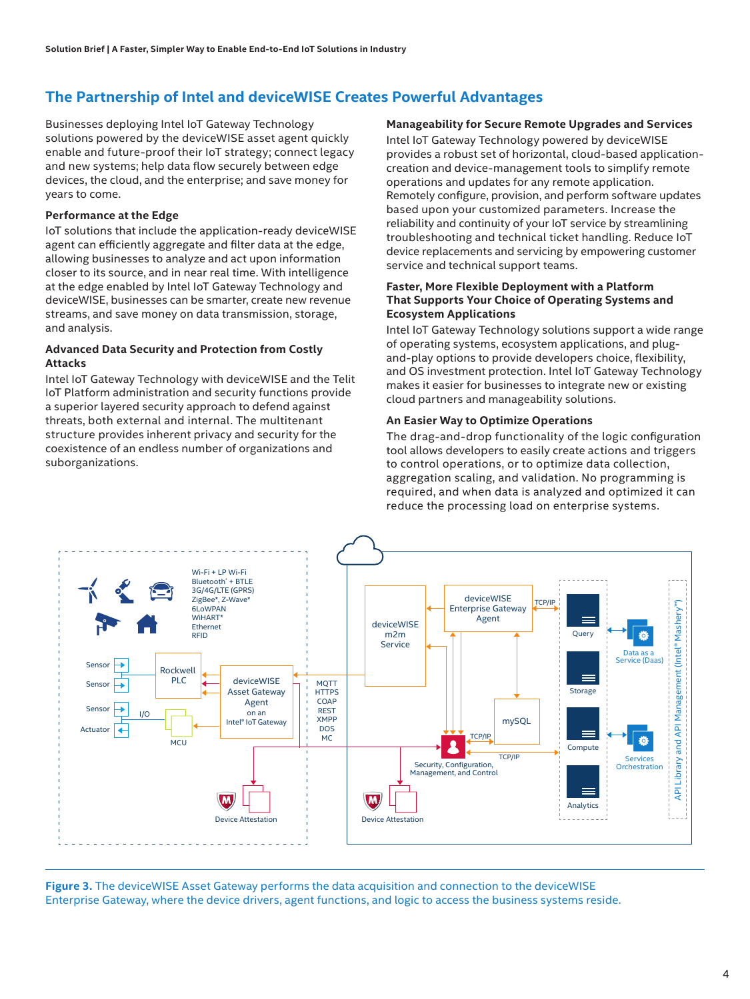## **The Partnership of Intel and deviceWISE Creates Powerful Advantages**

Businesses deploying Intel IoT Gateway Technology solutions powered by the deviceWISE asset agent quickly enable and future-proof their IoT strategy; connect legacy and new systems; help data flow securely between edge devices, the cloud, and the enterprise; and save money for years to come.

#### **Performance at the Edge**

IoT solutions that include the application-ready deviceWISE agent can efficiently aggregate and filter data at the edge, allowing businesses to analyze and act upon information closer to its source, and in near real time. With intelligence at the edge enabled by Intel IoT Gateway Technology and deviceWISE, businesses can be smarter, create new revenue streams, and save money on data transmission, storage, and analysis.

#### **Advanced Data Security and Protection from Costly Attacks**

Intel IoT Gateway Technology with deviceWISE and the Telit IoT Platform administration and security functions provide a superior layered security approach to defend against threats, both external and internal. The multitenant structure provides inherent privacy and security for the coexistence of an endless number of organizations and suborganizations.

**Manageability for Secure Remote Upgrades and Services** Intel IoT Gateway Technology powered by deviceWISE provides a robust set of horizontal, cloud-based applicationcreation and device-management tools to simplify remote operations and updates for any remote application. Remotely configure, provision, and perform software updates based upon your customized parameters. Increase the reliability and continuity of your IoT service by streamlining troubleshooting and technical ticket handling. Reduce IoT device replacements and servicing by empowering customer service and technical support teams.

#### **Faster, More Flexible Deployment with a Platform That Supports Your Choice of Operating Systems and Ecosystem Applications**

Intel IoT Gateway Technology solutions support a wide range of operating systems, ecosystem applications, and plugand-play options to provide developers choice, flexibility, and OS investment protection. Intel IoT Gateway Technology makes it easier for businesses to integrate new or existing cloud partners and manageability solutions.

#### **An Easier Way to Optimize Operations**

The drag-and-drop functionality of the logic configuration tool allows developers to easily create actions and triggers to control operations, or to optimize data collection, aggregation scaling, and validation. No programming is required, and when data is analyzed and optimized it can reduce the processing load on enterprise systems.



**Figure 3.** The deviceWISE Asset Gateway performs the data acquisition and connection to the deviceWISE Enterprise Gateway, where the device drivers, agent functions, and logic to access the business systems reside.